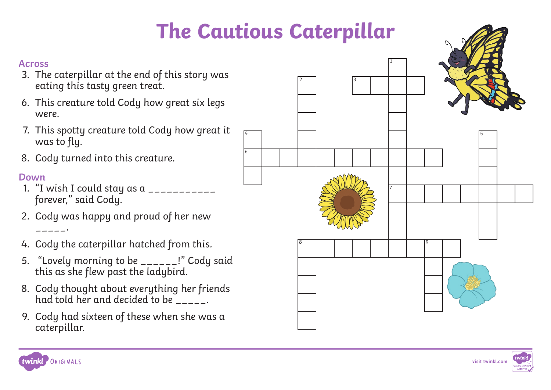## **The Cautious Caterpillar**

4

6



- 3. The caterpillar at the end of this story was eating this tasty green treat.
- 6. This creature told Cody how great six legs were.
- 7. This spotty creature told Cody how great it was to fly.
- 8. Cody turned into this creature.

### **Down**

- 1. "I wish I could stay as a \_\_\_\_\_\_\_\_\_\_\_ forever," said Cody.
- 2. Cody was happy and proud of her new \_\_\_\_\_.
- 4. Cody the caterpillar hatched from this.
- 5. "Lovely morning to be \_\_\_\_\_\_!" Cody said this as she flew past the ladybird.
- 8. Cody thought about everything her friends had told her and decided to be  $\overline{\phantom{a}}$ .
- 9. Cody had sixteen of these when she was a caterpillar.